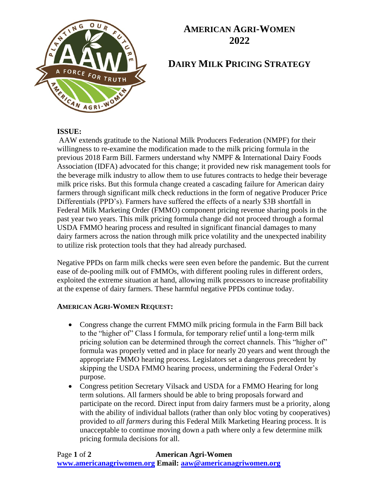

## **AMERICAN AGRI-WOMEN 2022**

# **DAIRY MILK PRICING STRATEGY**

#### **ISSUE:**

AAW extends gratitude to the National Milk Producers Federation (NMPF) for their willingness to re-examine the modification made to the milk pricing formula in the previous 2018 Farm Bill. Farmers understand why NMPF & International Dairy Foods Association (IDFA) advocated for this change; it provided new risk management tools for the beverage milk industry to allow them to use futures contracts to hedge their beverage milk price risks. But this formula change created a cascading failure for American dairy farmers through significant milk check reductions in the form of negative Producer Price Differentials (PPD's). Farmers have suffered the effects of a nearly \$3B shortfall in Federal Milk Marketing Order (FMMO) component pricing revenue sharing pools in the past year two years. This milk pricing formula change did not proceed through a formal USDA FMMO hearing process and resulted in significant financial damages to many dairy farmers across the nation through milk price volatility and the unexpected inability to utilize risk protection tools that they had already purchased.

Negative PPDs on farm milk checks were seen even before the pandemic. But the current ease of de-pooling milk out of FMMOs, with different pooling rules in different orders, exploited the extreme situation at hand, allowing milk processors to increase profitability at the expense of dairy farmers. These harmful negative PPDs continue today.

#### **AMERICAN AGRI-WOMEN REQUEST:**

- Congress change the current FMMO milk pricing formula in the Farm Bill back to the "higher of" Class I formula, for temporary relief until a long-term milk pricing solution can be determined through the correct channels. This "higher of" formula was properly vetted and in place for nearly 20 years and went through the appropriate FMMO hearing process. Legislators set a dangerous precedent by skipping the USDA FMMO hearing process, undermining the Federal Order's purpose.
- Congress petition Secretary Vilsack and USDA for a FMMO Hearing for long term solutions. All farmers should be able to bring proposals forward and participate on the record. Direct input from dairy farmers must be a priority, along with the ability of individual ballots (rather than only bloc voting by cooperatives) provided to *all farmers* during this Federal Milk Marketing Hearing process. It is unacceptable to continue moving down a path where only a few determine milk pricing formula decisions for all.

Page **1** of **2 American Agri-Women [www.americanagriwomen.org](http://www.americanagriwomen.org/) Email: [aaw@americanagriwomen.org](mailto:aaw@americanagriwomen.org)**